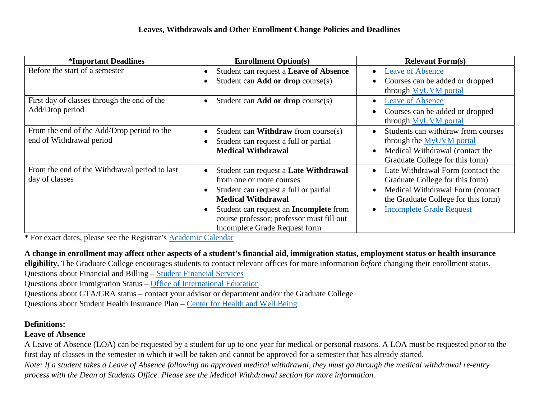| <i><b>*Important Deadlines</b></i>                                     | <b>Enrollment Option(s)</b>                                                                                                                                                                                                                                            | <b>Relevant Form(s)</b>                                                                                                                                                                                                   |
|------------------------------------------------------------------------|------------------------------------------------------------------------------------------------------------------------------------------------------------------------------------------------------------------------------------------------------------------------|---------------------------------------------------------------------------------------------------------------------------------------------------------------------------------------------------------------------------|
| Before the start of a semester                                         | Student can request a Leave of Absence<br>Student can <b>Add or drop</b> course $(s)$                                                                                                                                                                                  | <b>Leave of Absence</b><br>$\bullet$<br>Courses can be added or dropped<br>$\bullet$<br>through MyUVM portal                                                                                                              |
| First day of classes through the end of the<br>Add/Drop period         | Student can <b>Add or drop</b> course $(s)$<br>$\bullet$                                                                                                                                                                                                               | <b>Leave of Absence</b><br>$\bullet$<br>Courses can be added or dropped<br>through MyUVM portal                                                                                                                           |
| From the end of the Add/Drop period to the<br>end of Withdrawal period | Student can <b>Withdraw</b> from course(s)<br>Student can request a full or partial<br><b>Medical Withdrawal</b>                                                                                                                                                       | Students can withdraw from courses<br>$\bullet$<br>through the MyUVM portal<br>Medical Withdrawal (contact the<br>$\bullet$<br>Graduate College for this form)                                                            |
| From the end of the Withdrawal period to last<br>day of classes        | Student can request a Late Withdrawal<br>from one or more courses<br>Student can request a full or partial<br><b>Medical Withdrawal</b><br>Student can request an <b>Incomplete</b> from<br>course professor; professor must fill out<br>Incomplete Grade Request form | Late Withdrawal Form (contact the<br>$\bullet$<br>Graduate College for this form)<br>Medical Withdrawal Form (contact<br>$\bullet$<br>the Graduate College for this form)<br><b>Incomplete Grade Request</b><br>$\bullet$ |

\* For exact dates, please see the Registrar's [Academic Calendar](https://www.uvm.edu/registrar/academic-calendars)

**A change in enrollment may affect other aspects of a student's financial aid, immigration status, employment status or health insurance** 

**eligibility.** The Graduate College encourages students to contact relevant offices for more information *before* changing their enrollment status.

Questions about Financial and Billing – [Student Financial Services](mailto:sfs@uvm.edu)

Questions about Immigration Status – [Office of International Education](mailto:internationalstudents@uvm.edu)

Questions about GTA/GRA status – contact your advisor or department and/or the Graduate College

Questions about Student Health Insurance Plan – [Center for Health and Well Being](mailto:StudentInsurance@uvm.edu)

## **Definitions:**

## **Leave of Absence**

A Leave of Absence (LOA) can be requested by a student for up to one year for medical or personal reasons. A LOA must be requested prior to the first day of classes in the semester in which it will be taken and cannot be approved for a semester that has already started.

*Note: If a student takes a Leave of Absence following an approved medical withdrawal, they must go through the medical withdrawal re-entry process with the Dean of Students Office. Please see the Medical Withdrawal section for more information.*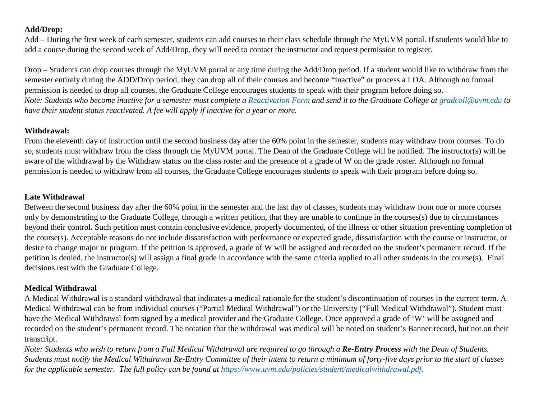#### **Add/Drop:**

Add – During the first week of each semester, students can add courses to their class schedule through the MyUVM portal. If students would like to add a course during the second week of Add/Drop, they will need to contact the instructor and request permission to register.

Drop – Students can drop courses through the MyUVM portal at any time during the Add/Drop period. If a student would like to withdraw from the semester entirely during the ADD/Drop period, they can drop all of their courses and become "inactive" or process a LOA. Although no formal permission is needed to drop all courses, the Graduate College encourages students to speak with their program before doing so. *Note: Students who become inactive for a semester must complete a [Reactivation Form](https://www.uvm.edu/sites/default/files/reactivation_1.pdf) and send it to the Graduate College at [gradcoll@uvm.edu](mailto:gradcoll@uvm.edu) to have their student status reactivated. A fee will apply if inactive for a year or more.* 

#### **Withdrawal:**

From the eleventh day of instruction until the second business day after the 60% point in the semester, students may withdraw from courses. To do so, students must withdraw from the class through the MyUVM portal. The Dean of the Graduate College will be notified. The instructor(s) will be aware of the withdrawal by the Withdraw status on the class roster and the presence of a grade of W on the grade roster. Although no formal permission is needed to withdraw from all courses, the Graduate College encourages students to speak with their program before doing so.

#### **Late Withdrawal**

Between the second business day after the 60% point in the semester and the last day of classes, students may withdraw from one or more courses only by demonstrating to the Graduate College, through a written petition, that they are unable to continue in the courses(s) due to circumstances beyond their control**.** Such petition must contain conclusive evidence, properly documented, of the illness or other situation preventing completion of the course(s). Acceptable reasons do not include dissatisfaction with performance or expected grade, dissatisfaction with the course or instructor, or desire to change major or program. If the petition is approved, a grade of W will be assigned and recorded on the student's permanent record. If the petition is denied, the instructor(s) will assign a final grade in accordance with the same criteria applied to all other students in the course(s). Final decisions rest with the Graduate College.

## **Medical Withdrawal**

A Medical Withdrawal is a standard withdrawal that indicates a medical rationale for the student's discontinuation of courses in the current term. A Medical Withdrawal can be from individual courses ("Partial Medical Withdrawal") or the University ("Full Medical Withdrawal"). Student must have the Medical Withdrawal form signed by a medical provider and the Graduate College. Once approved a grade of 'W' will be assigned and recorded on the student's permanent record. The notation that the withdrawal was medical will be noted on student's Banner record, but not on their transcript.

*Note: Students who wish to return from a Full Medical Withdrawal are required to go through a Re-Entry Process with the Dean of Students. Students must notify the Medical Withdrawal Re-Entry Committee of their intent to return a minimum of forty-five days prior to the start of classes for the applicable semester. The full policy can be found at [https://www.uvm.edu/policies/student/medicalwithdrawal.pdf.](https://www.uvm.edu/policies/student/medicalwithdrawal.pdf)*